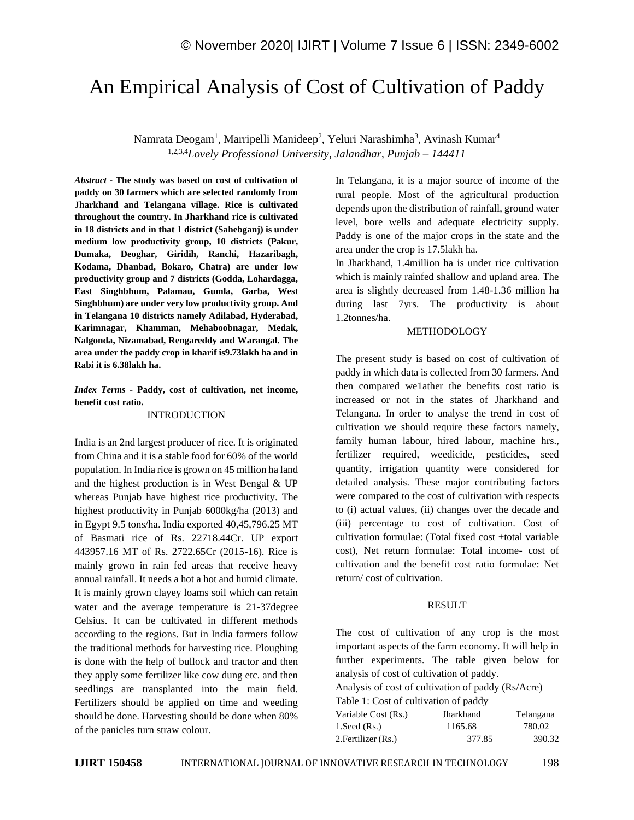# An Empirical Analysis of Cost of Cultivation of Paddy

Namrata Deogam<sup>1</sup>, Marripelli Manideep<sup>2</sup>, Yeluri Narashimha<sup>3</sup>, Avinash Kumar<sup>4</sup> 1,2,3,4*Lovely Professional University, Jalandhar, Punjab – 144411*

*Abstract -* **The study was based on cost of cultivation of paddy on 30 farmers which are selected randomly from Jharkhand and Telangana village. Rice is cultivated throughout the country. In Jharkhand rice is cultivated in 18 districts and in that 1 district (Sahebganj) is under medium low productivity group, 10 districts (Pakur, Dumaka, Deoghar, Giridih, Ranchi, Hazaribagh, Kodama, Dhanbad, Bokaro, Chatra) are under low productivity group and 7 districts (Godda, Lohardagga, East Singhbhum, Palamau, Gumla, Garba, West Singhbhum) are under very low productivity group. And in Telangana 10 districts namely Adilabad, Hyderabad, Karimnagar, Khamman, Mehaboobnagar, Medak, Nalgonda, Nizamabad, Rengareddy and Warangal. The area under the paddy crop in kharif is9.73lakh ha and in Rabi it is 6.38lakh ha.** 

## *Index Terms -* **Paddy, cost of cultivation, net income, benefit cost ratio.**

## INTRODUCTION

India is an 2nd largest producer of rice. It is originated from China and it is a stable food for 60% of the world population. In India rice is grown on 45 million ha land and the highest production is in West Bengal & UP whereas Punjab have highest rice productivity. The highest productivity in Punjab 6000kg/ha (2013) and in Egypt 9.5 tons/ha. India exported 40,45,796.25 MT of Basmati rice of Rs. 22718.44Cr. UP export 443957.16 MT of Rs. 2722.65Cr (2015-16). Rice is mainly grown in rain fed areas that receive heavy annual rainfall. It needs a hot a hot and humid climate. It is mainly grown clayey loams soil which can retain water and the average temperature is 21-37degree Celsius. It can be cultivated in different methods according to the regions. But in India farmers follow the traditional methods for harvesting rice. Ploughing is done with the help of bullock and tractor and then they apply some fertilizer like cow dung etc. and then seedlings are transplanted into the main field. Fertilizers should be applied on time and weeding should be done. Harvesting should be done when 80% of the panicles turn straw colour.

In Telangana, it is a major source of income of the rural people. Most of the agricultural production depends upon the distribution of rainfall, ground water level, bore wells and adequate electricity supply. Paddy is one of the major crops in the state and the area under the crop is 17.5lakh ha.

In Jharkhand, 1.4million ha is under rice cultivation which is mainly rainfed shallow and upland area. The area is slightly decreased from 1.48-1.36 million ha during last 7yrs. The productivity is about 1.2tonnes/ha.

## METHODOLOGY

The present study is based on cost of cultivation of paddy in which data is collected from 30 farmers. And then compared we1ather the benefits cost ratio is increased or not in the states of Jharkhand and Telangana. In order to analyse the trend in cost of cultivation we should require these factors namely, family human labour, hired labour, machine hrs., fertilizer required, weedicide, pesticides, seed quantity, irrigation quantity were considered for detailed analysis. These major contributing factors were compared to the cost of cultivation with respects to (i) actual values, (ii) changes over the decade and (iii) percentage to cost of cultivation. Cost of cultivation formulae: (Total fixed cost +total variable cost), Net return formulae: Total income- cost of cultivation and the benefit cost ratio formulae: Net return/ cost of cultivation.

## RESULT

The cost of cultivation of any crop is the most important aspects of the farm economy. It will help in further experiments. The table given below for analysis of cost of cultivation of paddy.

Analysis of cost of cultivation of paddy (Rs/Acre)

Table 1: Cost of cultivation of paddy

| Variable Cost (Rs.) | Jharkhand | Telangana |
|---------------------|-----------|-----------|
| $1.$ Seed $(Rs.)$   | 1165.68   | 780.02    |
| 2. Fertilizer (Rs.) | 377.85    | 390.32    |